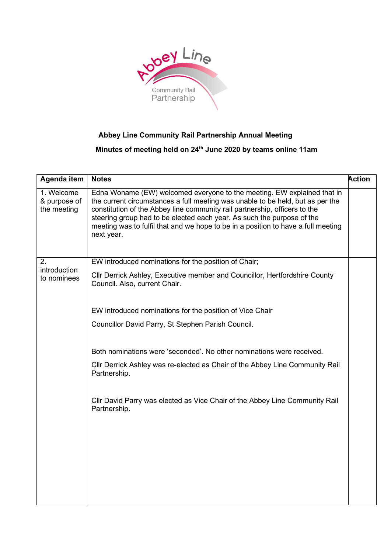

## Abbey Line Community Rail Partnership Annual Meeting

Minutes of meeting held on 24<sup>th</sup> June 2020 by teams online 11am

| Agenda item                               | <b>Notes</b>                                                                                                                                                                                                                                                                                                                                                                                                         | <b>Action</b> |
|-------------------------------------------|----------------------------------------------------------------------------------------------------------------------------------------------------------------------------------------------------------------------------------------------------------------------------------------------------------------------------------------------------------------------------------------------------------------------|---------------|
| 1. Welcome<br>& purpose of<br>the meeting | Edna Woname (EW) welcomed everyone to the meeting. EW explained that in<br>the current circumstances a full meeting was unable to be held, but as per the<br>constitution of the Abbey line community rail partnership, officers to the<br>steering group had to be elected each year. As such the purpose of the<br>meeting was to fulfil that and we hope to be in a position to have a full meeting<br>next year. |               |
| 2.<br>introduction<br>to nominees         | EW introduced nominations for the position of Chair;                                                                                                                                                                                                                                                                                                                                                                 |               |
|                                           | Cllr Derrick Ashley, Executive member and Councillor, Hertfordshire County<br>Council. Also, current Chair.                                                                                                                                                                                                                                                                                                          |               |
|                                           | EW introduced nominations for the position of Vice Chair                                                                                                                                                                                                                                                                                                                                                             |               |
|                                           | Councillor David Parry, St Stephen Parish Council.                                                                                                                                                                                                                                                                                                                                                                   |               |
|                                           | Both nominations were 'seconded'. No other nominations were received.                                                                                                                                                                                                                                                                                                                                                |               |
|                                           | CIIr Derrick Ashley was re-elected as Chair of the Abbey Line Community Rail<br>Partnership.                                                                                                                                                                                                                                                                                                                         |               |
|                                           | CIIr David Parry was elected as Vice Chair of the Abbey Line Community Rail<br>Partnership.                                                                                                                                                                                                                                                                                                                          |               |
|                                           |                                                                                                                                                                                                                                                                                                                                                                                                                      |               |
|                                           |                                                                                                                                                                                                                                                                                                                                                                                                                      |               |
|                                           |                                                                                                                                                                                                                                                                                                                                                                                                                      |               |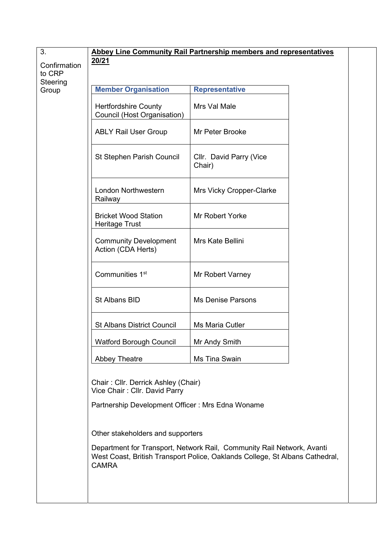| 3.                 | Abbey Line Community Rail Partnership members and representatives    |                                                                                                                                                        |  |  |  |
|--------------------|----------------------------------------------------------------------|--------------------------------------------------------------------------------------------------------------------------------------------------------|--|--|--|
| Confirmation       | 20/21                                                                |                                                                                                                                                        |  |  |  |
| to CRP<br>Steering |                                                                      |                                                                                                                                                        |  |  |  |
| Group              | <b>Member Organisation</b>                                           | <b>Representative</b>                                                                                                                                  |  |  |  |
|                    | <b>Hertfordshire County</b><br>Council (Host Organisation)           | Mrs Val Male                                                                                                                                           |  |  |  |
|                    | <b>ABLY Rail User Group</b>                                          | Mr Peter Brooke                                                                                                                                        |  |  |  |
|                    | St Stephen Parish Council                                            | Cllr. David Parry (Vice<br>Chair)                                                                                                                      |  |  |  |
|                    | London Northwestern<br>Railway                                       | Mrs Vicky Cropper-Clarke                                                                                                                               |  |  |  |
|                    | <b>Bricket Wood Station</b><br><b>Heritage Trust</b>                 | Mr Robert Yorke                                                                                                                                        |  |  |  |
|                    | <b>Community Development</b><br>Action (CDA Herts)                   | Mrs Kate Bellini                                                                                                                                       |  |  |  |
|                    | Communities 1 <sup>st</sup>                                          | Mr Robert Varney                                                                                                                                       |  |  |  |
|                    | St Albans BID                                                        | <b>Ms Denise Parsons</b>                                                                                                                               |  |  |  |
|                    | <b>St Albans District Council</b>                                    | Ms Maria Cutler                                                                                                                                        |  |  |  |
|                    | <b>Watford Borough Council</b>                                       | Mr Andy Smith                                                                                                                                          |  |  |  |
|                    | <b>Abbey Theatre</b>                                                 | Ms Tina Swain                                                                                                                                          |  |  |  |
|                    | Chair: Cllr. Derrick Ashley (Chair)<br>Vice Chair: Cllr. David Parry |                                                                                                                                                        |  |  |  |
|                    | Partnership Development Officer: Mrs Edna Woname                     |                                                                                                                                                        |  |  |  |
|                    | Other stakeholders and supporters                                    |                                                                                                                                                        |  |  |  |
|                    | <b>CAMRA</b>                                                         | Department for Transport, Network Rail, Community Rail Network, Avanti<br>West Coast, British Transport Police, Oaklands College, St Albans Cathedral, |  |  |  |
|                    |                                                                      |                                                                                                                                                        |  |  |  |